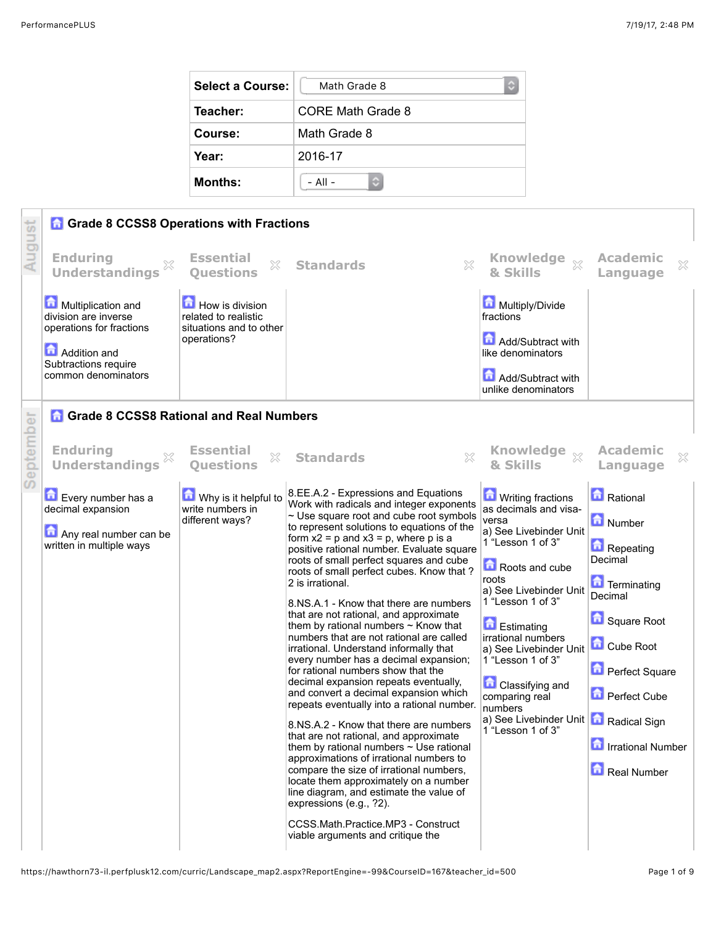| Select a Course: | Math Grade 8<br>C |  |  |  |
|------------------|-------------------|--|--|--|
| Teacher:         | CORE Math Grade 8 |  |  |  |
| Course:          | Math Grade 8      |  |  |  |
| Year:            | 2016-17           |  |  |  |
| <b>Months:</b>   | $-$ All $-$       |  |  |  |



https://hawthorn73-il.perfplusk12.com/curric/Landscape\_map2.aspx?ReportEngine=-99&CourseID=167&teacher\_id=500 Page 1 of 9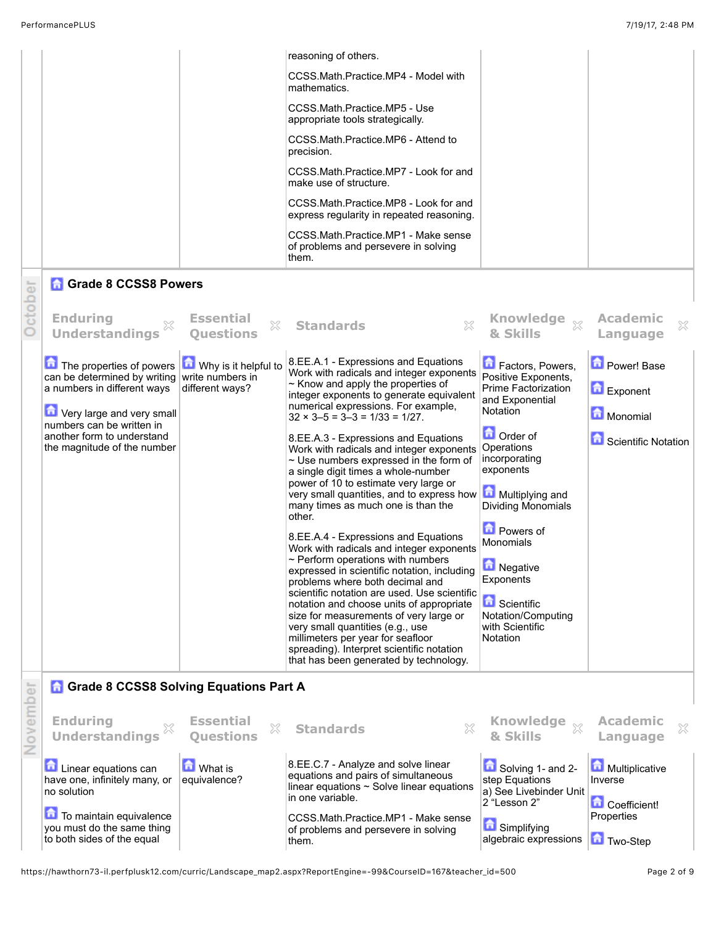| November | <b>Grade 8 CCSS8 Solving Equations Part A</b><br><b>Enduring</b><br><b>Understandings</b><br><b>Linear equations can</b><br>have one, infinitely many, or<br>no solution<br>To maintain equivalence                                     | <b>Essential</b><br>×<br><b>Ouestions</b><br><b>b</b> What is<br>equivalence?   | 8.EE.A.4 - Expressions and Equations<br>Work with radicals and integer exponents<br>$\sim$ Perform operations with numbers<br>expressed in scientific notation, including<br>problems where both decimal and<br>scientific notation are used. Use scientific<br>notation and choose units of appropriate<br>size for measurements of very large or<br>very small quantities (e.g., use<br>millimeters per year for seafloor<br>spreading). Interpret scientific notation<br>that has been generated by technology.<br>X<br><b>Standards</b><br>8.EE.C.7 - Analyze and solve linear<br>equations and pairs of simultaneous<br>linear equations $\sim$ Solve linear equations<br>in one variable.<br>CCSS.Math.Practice.MP1 - Make sense | <b>D</b> Powers of<br><b>Monomials</b><br><b>PUT</b><br><b>Negative</b><br>Exponents<br>Scientific<br>Notation/Computing<br>with Scientific<br>Notation<br>Knowledge <sub>X</sub><br>& Skills<br>Solving 1- and 2-<br>step Equations<br>a) See Livebinder Unit<br>2 "Lesson 2" | <b>Academic</b><br>×<br>Language<br>Multiplicative<br>Inverse<br><b>Coefficient!</b><br>Properties |
|----------|-----------------------------------------------------------------------------------------------------------------------------------------------------------------------------------------------------------------------------------------|---------------------------------------------------------------------------------|----------------------------------------------------------------------------------------------------------------------------------------------------------------------------------------------------------------------------------------------------------------------------------------------------------------------------------------------------------------------------------------------------------------------------------------------------------------------------------------------------------------------------------------------------------------------------------------------------------------------------------------------------------------------------------------------------------------------------------------|--------------------------------------------------------------------------------------------------------------------------------------------------------------------------------------------------------------------------------------------------------------------------------|----------------------------------------------------------------------------------------------------|
|          | <b>Understandings</b><br>The properties of powers<br>can be determined by writing<br>a numbers in different ways<br>Very large and very small<br>numbers can be written in<br>another form to understand<br>the magnitude of the number | <b>Ouestions</b><br>Why is it helpful to<br>write numbers in<br>different ways? | 8.EE.A.1 - Expressions and Equations<br>Work with radicals and integer exponents<br>$\sim$ Know and apply the properties of<br>integer exponents to generate equivalent<br>numerical expressions. For example,<br>$32 \times 3 - 5 = 3 - 3 = 1/33 = 1/27$ .<br>8.EE.A.3 - Expressions and Equations<br>Work with radicals and integer exponents<br>$\sim$ Use numbers expressed in the form of<br>a single digit times a whole-number<br>power of 10 to estimate very large or<br>very small quantities, and to express how<br>many times as much one is than the<br>other.                                                                                                                                                            | & Skills<br>Factors, Powers,<br>Positive Exponents,<br>Prime Factorization<br>and Exponential<br>Notation<br><b>D</b> Order of<br>Operations<br>incorporating<br>exponents<br>Multiplying and<br>Dividing Monomials                                                            | Language<br>Power! Base<br>Exponent<br>Monomial<br><b>Constantific Notation</b>                    |
| October  | <b>Grade 8 CCSS8 Powers</b><br><b>Enduring</b>                                                                                                                                                                                          | <b>Essential</b><br>X                                                           | reasoning of others.<br>CCSS.Math.Practice.MP4 - Model with<br>mathematics.<br>CCSS.Math.Practice.MP5 - Use<br>appropriate tools strategically.<br>CCSS.Math.Practice.MP6 - Attend to<br>precision.<br>CCSS.Math.Practice.MP7 - Look for and<br>make use of structure.<br>CCSS.Math.Practice.MP8 - Look for and<br>express regularity in repeated reasoning.<br>CCSS.Math.Practice.MP1 - Make sense<br>of problems and persevere in solving<br>them.<br>$\mathbb{X}$<br><b>Standards</b>                                                                                                                                                                                                                                               | Knowledge xx                                                                                                                                                                                                                                                                   | <b>Academic</b><br>X                                                                               |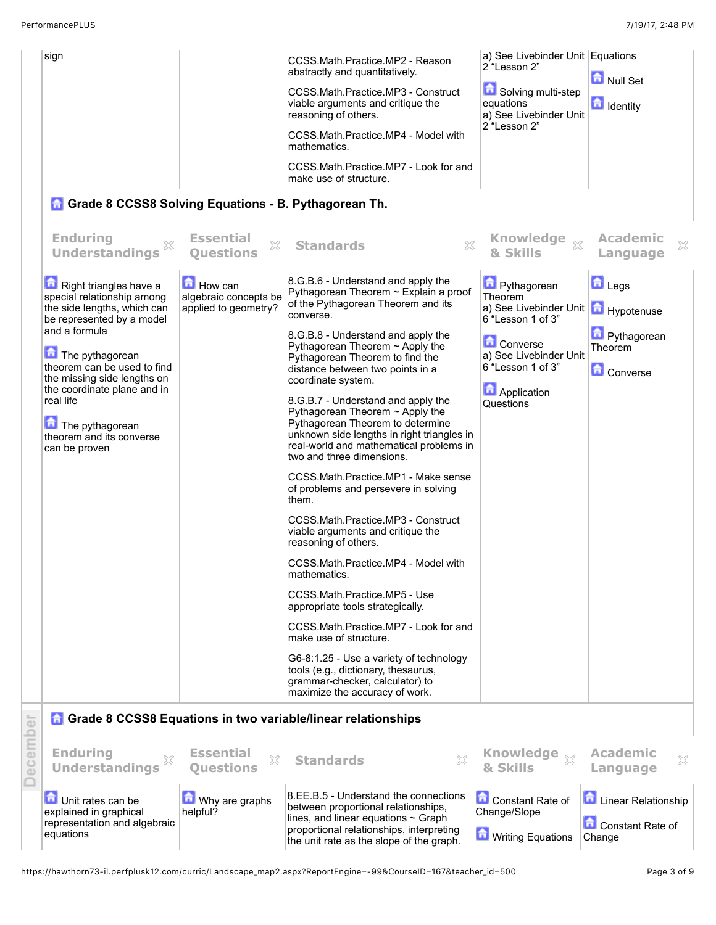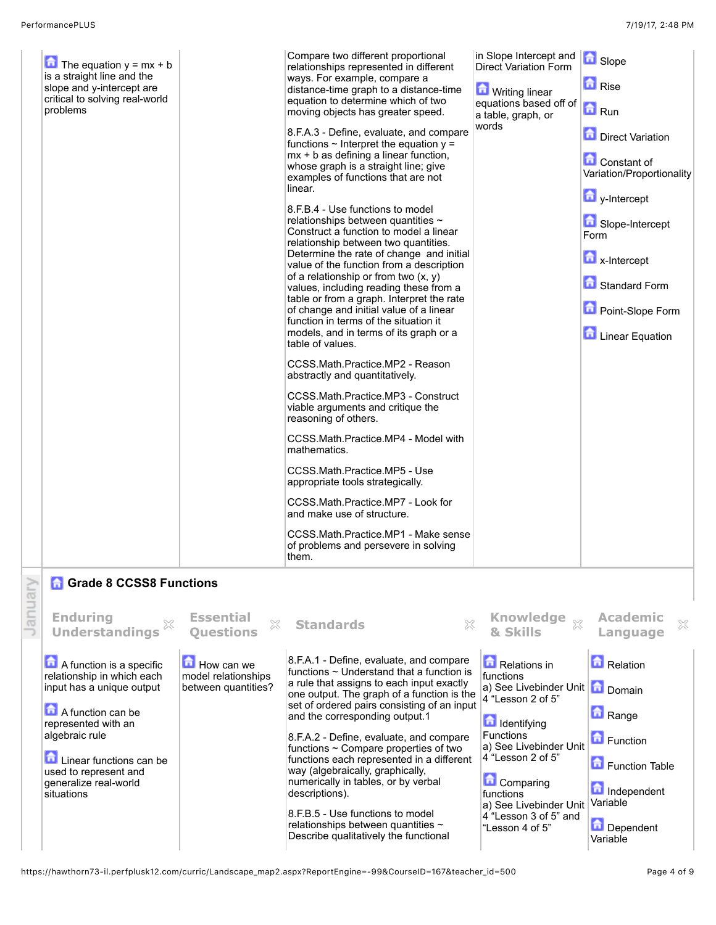| A function is a specific<br>relationship in which each<br>input has a unique output | How can we<br>model relationships<br>between quantities? | 8.F.A.1 - Define, evaluate, and compare<br>functions $\sim$ Understand that a function is<br>a rule that assigns to each input exactly | Relations in<br>functions<br>a) See Livebinder Unit   n Domain | Relation                                      |  |
|-------------------------------------------------------------------------------------|----------------------------------------------------------|----------------------------------------------------------------------------------------------------------------------------------------|----------------------------------------------------------------|-----------------------------------------------|--|
| <b>Ref</b> Grade 8 CCSS8 Functions<br><b>Enduring</b><br><b>Understandings</b>      | <b>Essential</b><br>×<br><b>Questions</b>                | <b>Standards</b><br>X                                                                                                                  | <b>Knowledge</b><br>\$Ŷ<br>& Skills                            | Academic<br>×<br>Language                     |  |
|                                                                                     |                                                          |                                                                                                                                        |                                                                |                                               |  |
|                                                                                     |                                                          | CCSS.Math.Practice.MP1 - Make sense<br>of problems and persevere in solving<br>them.                                                   |                                                                |                                               |  |
|                                                                                     |                                                          | CCSS.Math.Practice.MP7 - Look for<br>and make use of structure.                                                                        |                                                                |                                               |  |
|                                                                                     |                                                          | CCSS.Math.Practice.MP5 - Use<br>appropriate tools strategically.                                                                       |                                                                |                                               |  |
|                                                                                     |                                                          | CCSS.Math.Practice.MP4 - Model with<br>mathematics.                                                                                    |                                                                |                                               |  |
|                                                                                     |                                                          | CCSS.Math.Practice.MP3 - Construct<br>viable arguments and critique the<br>reasoning of others.                                        |                                                                |                                               |  |
|                                                                                     |                                                          | CCSS.Math.Practice.MP2 - Reason<br>abstractly and quantitatively.                                                                      |                                                                |                                               |  |
|                                                                                     |                                                          | models, and in terms of its graph or a<br>table of values.                                                                             |                                                                | <b>Linear Equation</b>                        |  |
|                                                                                     |                                                          | table or from a graph. Interpret the rate<br>of change and initial value of a linear<br>function in terms of the situation it          |                                                                | Point-Slope Form                              |  |
|                                                                                     |                                                          | value of the function from a description<br>of a relationship or from two $(x, y)$<br>values, including reading these from a           |                                                                | Standard Form                                 |  |
|                                                                                     |                                                          | Construct a function to model a linear<br>relationship between two quantities.<br>Determine the rate of change and initial             |                                                                | Form<br>$\mathbf{a}$ x-Intercept              |  |
|                                                                                     |                                                          | 8.F.B.4 - Use functions to model<br>relationships between quantities $\sim$                                                            |                                                                | y-Intercept<br>Slope-Intercept                |  |
|                                                                                     |                                                          | whose graph is a straight line; give<br>examples of functions that are not<br>linear.                                                  |                                                                | Variation/Proportionality                     |  |
|                                                                                     |                                                          | 8.F.A.3 - Define, evaluate, and compare<br>functions $\sim$ Interpret the equation $y =$<br>mx + b as defining a linear function,      |                                                                | <b>Direct Variation</b><br><b>Constant of</b> |  |
| critical to solving real-world<br>problems                                          |                                                          | equation to determine which of two<br>moving objects has greater speed.                                                                | equations based off of<br>a table, graph, or<br>words          | $\blacksquare$ Run                            |  |
| is a straight line and the<br>slope and y-intercept are                             |                                                          | ways. For example, compare a<br>distance-time graph to a distance-time                                                                 | <b>M</b> Writing linear                                        | <b>D</b> Rise                                 |  |
| The equation $y = mx + b$                                                           |                                                          | Compare two different proportional<br>relationships represented in different                                                           | in Slope Intercept and<br><b>Direct Variation Form</b>         | <b>h</b> Slope                                |  |

A function can be represented with an algebraic rule

Linear functions can be used to represent and generalize real-world situations

| ndings                                                     | <b>L</b> ээснчаг<br>X.<br><b>Ouestions</b>                      | <b>Standards</b>                                                                                                                                                                                                                                                      | <b>KIIOWICUYC</b><br>& Skills                                                                                    | Acqueille<br>Language                     |
|------------------------------------------------------------|-----------------------------------------------------------------|-----------------------------------------------------------------------------------------------------------------------------------------------------------------------------------------------------------------------------------------------------------------------|------------------------------------------------------------------------------------------------------------------|-------------------------------------------|
| s a specific<br>which each<br>que output<br>an be<br>th an | <b>How can we</b><br>model relationships<br>between quantities? | 8.F.A.1 - Define, evaluate, and compare<br>functions $\sim$ Understand that a function is<br>a rule that assigns to each input exactly<br>one output. The graph of a function is the<br>set of ordered pairs consisting of an input<br>and the corresponding output.1 | Relations in<br>functions<br>a) See Livebinder Unit <b>D</b> Domain<br>4 "Lesson 2 of 5"<br><b>d</b> Identifying | <b>Relation</b><br>Range                  |
| tions can be<br>ent and<br>-world                          |                                                                 | 8.F.A.2 - Define, evaluate, and compare<br>functions $\sim$ Compare properties of two<br>functions each represented in a different<br>way (algebraically, graphically,<br>numerically in tables, or by verbal<br>descriptions).                                       | <b>Functions</b><br>a) See Livebinder Unit<br>4 "Lesson 2 of 5"<br><b>Comparing</b><br>functions                 | Function<br>Function Table<br>Independent |
|                                                            |                                                                 | 8.F.B.5 - Use functions to model<br>relationships between quantities $\sim$<br>Describe qualitatively the functional                                                                                                                                                  | a) See Livebinder Unit<br>4 "Lesson 3 of 5" and<br>"Lesson 4 of 5"                                               | Variable<br><b>Dependent</b><br>Variable  |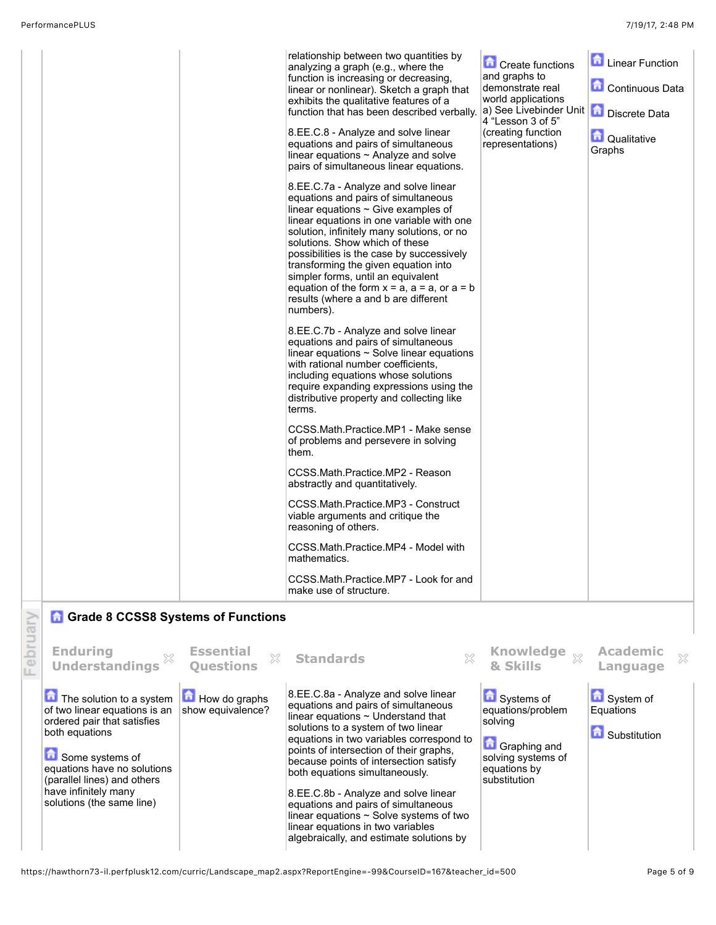| relationship between two quantities by<br><b>A</b> Linear Function<br>Create functions<br>analyzing a graph (e.g., where the<br>and graphs to<br>function is increasing or decreasing,<br>Continuous Data<br>demonstrate real<br>linear or nonlinear). Sketch a graph that<br>world applications<br>exhibits the qualitative features of a<br>a) See Livebinder Unit<br><b>Discrete Data</b><br>function that has been described verbally.<br>4 "Lesson 3 of 5"<br>8.EE.C.8 - Analyze and solve linear<br>(creating function<br><b>O</b> Qualitative<br>representations)<br>equations and pairs of simultaneous<br>Graphs<br>linear equations $\sim$ Analyze and solve<br>pairs of simultaneous linear equations.<br>8.EE.C.7a - Analyze and solve linear<br>equations and pairs of simultaneous<br>linear equations $\sim$ Give examples of<br>linear equations in one variable with one<br>solution, infinitely many solutions, or no<br>solutions. Show which of these<br>possibilities is the case by successively<br>transforming the given equation into<br>simpler forms, until an equivalent<br>equation of the form $x = a$ , $a = a$ , or $a = b$<br>results (where a and b are different<br>numbers).<br>8.EE.C.7b - Analyze and solve linear<br>equations and pairs of simultaneous<br>linear equations $\sim$ Solve linear equations<br>with rational number coefficients,<br>including equations whose solutions<br>require expanding expressions using the<br>distributive property and collecting like<br>terms.<br>CCSS.Math.Practice.MP1 - Make sense<br>of problems and persevere in solving<br>them.<br>CCSS.Math.Practice.MP2 - Reason<br>abstractly and quantitatively.<br>CCSS.Math.Practice.MP3 - Construct<br>viable arguments and critique the<br>reasoning of others. |
|--------------------------------------------------------------------------------------------------------------------------------------------------------------------------------------------------------------------------------------------------------------------------------------------------------------------------------------------------------------------------------------------------------------------------------------------------------------------------------------------------------------------------------------------------------------------------------------------------------------------------------------------------------------------------------------------------------------------------------------------------------------------------------------------------------------------------------------------------------------------------------------------------------------------------------------------------------------------------------------------------------------------------------------------------------------------------------------------------------------------------------------------------------------------------------------------------------------------------------------------------------------------------------------------------------------------------------------------------------------------------------------------------------------------------------------------------------------------------------------------------------------------------------------------------------------------------------------------------------------------------------------------------------------------------------------------------------------------------------------------------------------------------------------------------|
|--------------------------------------------------------------------------------------------------------------------------------------------------------------------------------------------------------------------------------------------------------------------------------------------------------------------------------------------------------------------------------------------------------------------------------------------------------------------------------------------------------------------------------------------------------------------------------------------------------------------------------------------------------------------------------------------------------------------------------------------------------------------------------------------------------------------------------------------------------------------------------------------------------------------------------------------------------------------------------------------------------------------------------------------------------------------------------------------------------------------------------------------------------------------------------------------------------------------------------------------------------------------------------------------------------------------------------------------------------------------------------------------------------------------------------------------------------------------------------------------------------------------------------------------------------------------------------------------------------------------------------------------------------------------------------------------------------------------------------------------------------------------------------------------------|

## **a** Grade 8 CCSS8 Systems of Functions

|         | <b>A</b> Grade 8 CCSS8 Systems of Functions                                                                                                                                                                                                      |                                                      |                                                                                                                                                                                                                                                                                                                                                                                                                                                                                                                                                  |                                                                                                                  |                                                  |
|---------|--------------------------------------------------------------------------------------------------------------------------------------------------------------------------------------------------------------------------------------------------|------------------------------------------------------|--------------------------------------------------------------------------------------------------------------------------------------------------------------------------------------------------------------------------------------------------------------------------------------------------------------------------------------------------------------------------------------------------------------------------------------------------------------------------------------------------------------------------------------------------|------------------------------------------------------------------------------------------------------------------|--------------------------------------------------|
| iq<br>e | <b>Enduring</b><br><b>Understandings</b>                                                                                                                                                                                                         | <b>Essential</b><br>$\mathbb{X}$<br><b>Ouestions</b> | <b>Standards</b>                                                                                                                                                                                                                                                                                                                                                                                                                                                                                                                                 | <b>Knowledge</b><br>& Skills                                                                                     | <b>Academic</b><br>$\chi$<br>Language            |
|         | The solution to a system<br>of two linear equations is an<br>ordered pair that satisfies<br>both equations<br>Some systems of<br>equations have no solutions<br>(parallel lines) and others<br>have infinitely many<br>solutions (the same line) | $\blacksquare$ How do graphs<br>show equivalence?    | 8.EE.C.8a - Analyze and solve linear<br>equations and pairs of simultaneous<br>linear equations $\sim$ Understand that<br>solutions to a system of two linear<br>equations in two variables correspond to<br>points of intersection of their graphs.<br>because points of intersection satisfy<br>both equations simultaneously.<br>8.EE.C.8b - Analyze and solve linear<br>equations and pairs of simultaneous<br>linear equations $\sim$ Solve systems of two<br>linear equations in two variables<br>algebraically, and estimate solutions by | Systems of<br>equations/problem<br>solving<br>Graphing and<br>solving systems of<br>equations by<br>substitution | System of<br>Equations<br><b>Ed</b> Substitution |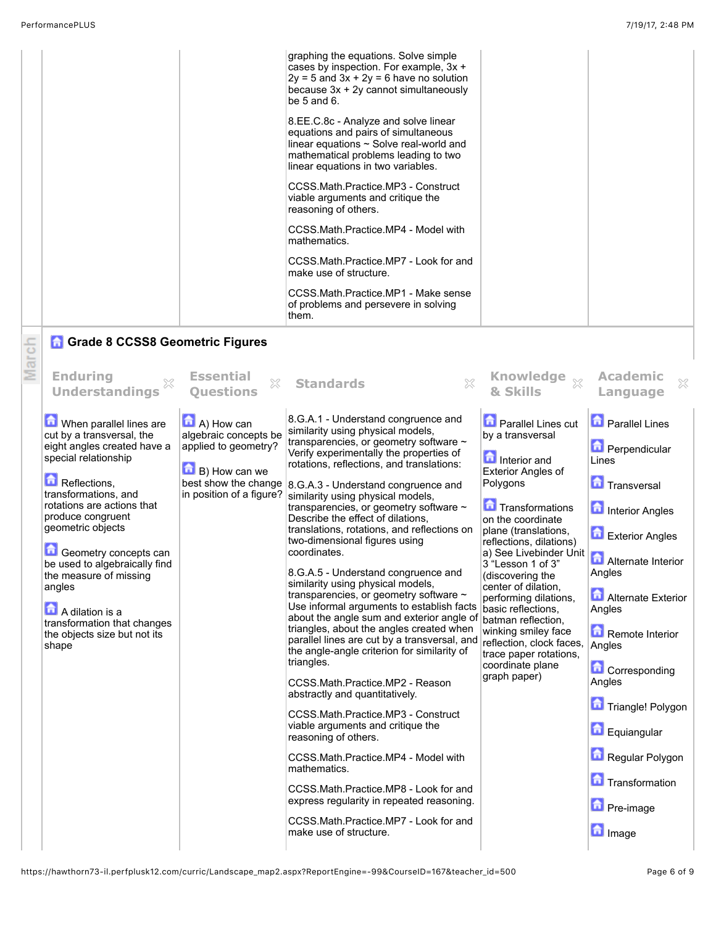| mathematics.<br>CCSS.Math.Practice.MP7 - Look for and<br>make use of structure.<br>CCSS.Math.Practice.MP1 - Make sense<br>of problems and persevere in solving<br>them.                              |  |
|------------------------------------------------------------------------------------------------------------------------------------------------------------------------------------------------------|--|
| CCSS.Math.Practice.MP3 - Construct<br>viable arguments and critique the<br>reasoning of others.<br>CCSS Math Practice MP4 - Model with                                                               |  |
| 8.EE.C.8c - Analyze and solve linear<br>equations and pairs of simultaneous<br>linear equations ~ Solve real-world and<br>mathematical problems leading to two<br>linear equations in two variables. |  |
| graphing the equations. Solve simple<br>cases by inspection. For example, 3x +<br>$2y = 5$ and $3x + 2y = 6$ have no solution<br>because $3x + 2y$ cannot simultaneously<br>be $5$ and $6$ .         |  |

| Marc | <b>Enduring</b><br><b>Understandings</b>                                                                                                                                                                                                                                                                                                                                                                                      | <b>Essential</b><br>$\chi$<br><b>Ouestions</b>                                                                                                                 | $\chi$<br><b>Standards</b>                                                                                                                                                                                                                                                                                                                                                                                                                                                                                                                                                                                                                                                                                                                                                                                                                                                                                                                                                                                                                                                                                                                                                                                                             | & Skills                                                                                                                                                                                                                                                                                                                                                                                                                                                                                     | <b>Academic</b><br>$\mathbb{X}$<br>Language                                                                                                                                                                                                                                                                                                                                          |
|------|-------------------------------------------------------------------------------------------------------------------------------------------------------------------------------------------------------------------------------------------------------------------------------------------------------------------------------------------------------------------------------------------------------------------------------|----------------------------------------------------------------------------------------------------------------------------------------------------------------|----------------------------------------------------------------------------------------------------------------------------------------------------------------------------------------------------------------------------------------------------------------------------------------------------------------------------------------------------------------------------------------------------------------------------------------------------------------------------------------------------------------------------------------------------------------------------------------------------------------------------------------------------------------------------------------------------------------------------------------------------------------------------------------------------------------------------------------------------------------------------------------------------------------------------------------------------------------------------------------------------------------------------------------------------------------------------------------------------------------------------------------------------------------------------------------------------------------------------------------|----------------------------------------------------------------------------------------------------------------------------------------------------------------------------------------------------------------------------------------------------------------------------------------------------------------------------------------------------------------------------------------------------------------------------------------------------------------------------------------------|--------------------------------------------------------------------------------------------------------------------------------------------------------------------------------------------------------------------------------------------------------------------------------------------------------------------------------------------------------------------------------------|
|      | When parallel lines are<br>cut by a transversal, the<br>eight angles created have a<br>special relationship<br>Reflections,<br>transformations, and<br>rotations are actions that<br>produce congruent<br>geometric objects<br><b>C</b> Geometry concepts can<br>be used to algebraically find<br>the measure of missing<br>angles<br>A dilation is a<br>transformation that changes<br>the objects size but not its<br>shape | $\blacksquare$ A) How can<br>algebraic concepts be<br>applied to geometry?<br>$\blacksquare$ B) How can we<br>best show the change<br>in position of a figure? | 8.G.A.1 - Understand congruence and<br>similarity using physical models,<br>transparencies, or geometry software ~<br>Verify experimentally the properties of<br>rotations, reflections, and translations:<br>8.G.A.3 - Understand congruence and<br>similarity using physical models,<br>transparencies, or geometry software ~<br>Describe the effect of dilations,<br>translations, rotations, and reflections on<br>two-dimensional figures using<br>coordinates.<br>8.G.A.5 - Understand congruence and<br>similarity using physical models,<br>transparencies, or geometry software ~<br>Use informal arguments to establish facts<br>about the angle sum and exterior angle of<br>triangles, about the angles created when<br>parallel lines are cut by a transversal, and<br>the angle-angle criterion for similarity of<br>triangles.<br>CCSS.Math.Practice.MP2 - Reason<br>abstractly and quantitatively.<br>CCSS.Math.Practice.MP3 - Construct<br>viable arguments and critique the<br>reasoning of others.<br>CCSS.Math.Practice.MP4 - Model with<br>mathematics.<br>CCSS.Math.Practice.MP8 - Look for and<br>express regularity in repeated reasoning.<br>CCSS.Math.Practice.MP7 - Look for and<br>make use of structure. | <b>D</b> Parallel Lines cut<br>by a transversal<br><b>n</b> Interior and<br><b>Exterior Angles of</b><br>Polygons<br>Transformations<br>on the coordinate<br>plane (translations,<br>reflections, dilations)<br>a) See Livebinder Unit<br>3 "Lesson 1 of 3"<br>(discovering the<br>center of dilation.<br>performing dilations,<br>basic reflections.<br>batman reflection.<br>winking smiley face<br>reflection, clock faces,<br>trace paper rotations,<br>coordinate plane<br>graph paper) | <b>D</b> Parallel Lines<br><b>D</b> Perpendicular<br>Lines<br><b>Transversal</b><br>Interior Angles<br>Exterior Angles<br><b>Alternate Interior</b><br>Angles<br><b>Alternate Exterior</b><br>Angles<br>Remote Interior<br>Angles<br>Corresponding<br>Angles<br>Triangle! Polygon<br><b>D</b> Equiangular<br>Regular Polygon<br>Transformation<br><b>Pre-image</b><br><b>n</b> Image |

https://hawthorn73-il.perfplusk12.com/curric/Landscape\_map2.aspx?ReportEngine=-99&CourseID=167&teacher\_id=500 Page 6 of 9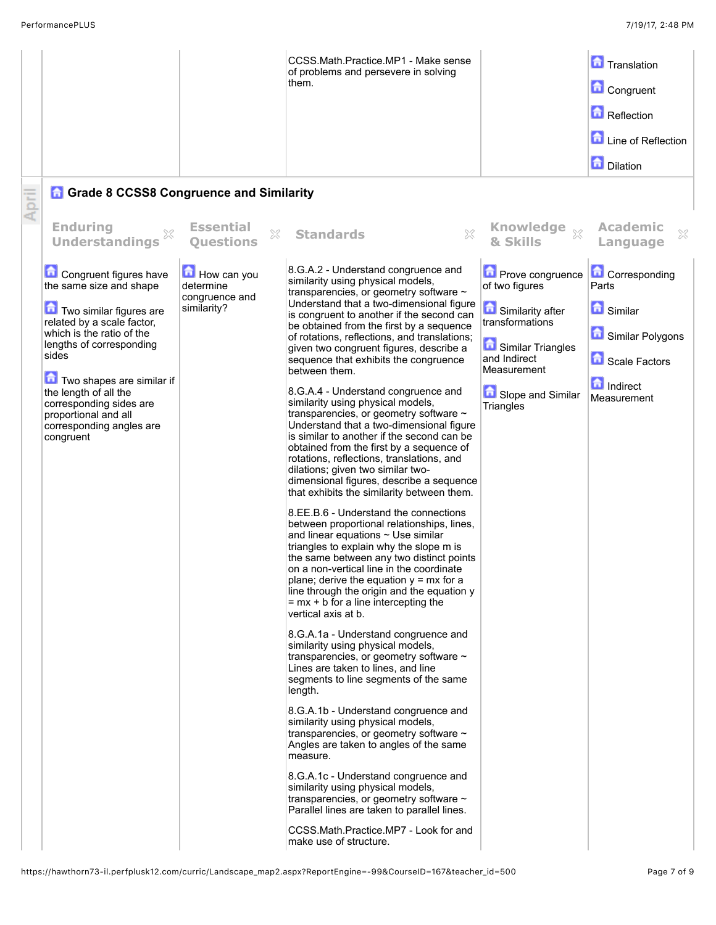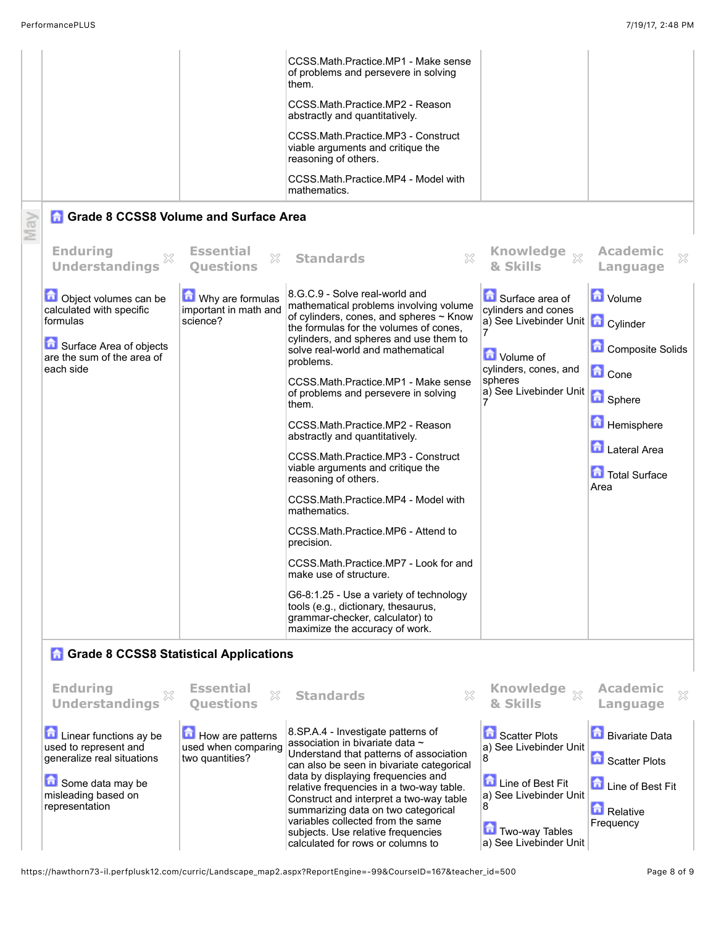|     |                                                                                                                                            |                                                            | CCSS.Math.Practice.MP1 - Make sense<br>of problems and persevere in solving<br>them.<br>CCSS.Math.Practice.MP2 - Reason<br>abstractly and quantitatively.<br>CCSS.Math.Practice.MP3 - Construct<br>viable arguments and critique the<br>reasoning of others.<br>CCSS.Math.Practice.MP4 - Model with<br>mathematics.                                                                                                                                                                                                                                                                                                                                                                                                                                                                                                                                            |                                                                                                                                                                                |                                                                                                                           |
|-----|--------------------------------------------------------------------------------------------------------------------------------------------|------------------------------------------------------------|----------------------------------------------------------------------------------------------------------------------------------------------------------------------------------------------------------------------------------------------------------------------------------------------------------------------------------------------------------------------------------------------------------------------------------------------------------------------------------------------------------------------------------------------------------------------------------------------------------------------------------------------------------------------------------------------------------------------------------------------------------------------------------------------------------------------------------------------------------------|--------------------------------------------------------------------------------------------------------------------------------------------------------------------------------|---------------------------------------------------------------------------------------------------------------------------|
| May | <b>Grade 8 CCSS8 Volume and Surface Area</b>                                                                                               |                                                            |                                                                                                                                                                                                                                                                                                                                                                                                                                                                                                                                                                                                                                                                                                                                                                                                                                                                |                                                                                                                                                                                |                                                                                                                           |
|     | <b>Enduring</b><br><b>Understandings</b>                                                                                                   | <b>Essential</b><br>X<br><b>Ouestions</b>                  | X<br><b>Standards</b>                                                                                                                                                                                                                                                                                                                                                                                                                                                                                                                                                                                                                                                                                                                                                                                                                                          | Knowledge xx<br>& Skills                                                                                                                                                       | <b>Academic</b><br>X<br>Language                                                                                          |
|     | Object volumes can be<br>calculated with specific<br>formulas<br>Surface Area of objects<br>are the sum of the area of<br>each side        | Why are formulas<br>important in math and<br>science?      | 8.G.C.9 - Solve real-world and<br>mathematical problems involving volume<br>of cylinders, cones, and spheres ~ Know<br>the formulas for the volumes of cones.<br>cylinders, and spheres and use them to<br>solve real-world and mathematical<br>problems.<br>CCSS.Math.Practice.MP1 - Make sense<br>of problems and persevere in solving<br>them.<br>CCSS.Math.Practice.MP2 - Reason<br>abstractly and quantitatively.<br>CCSS.Math.Practice.MP3 - Construct<br>viable arguments and critique the<br>reasoning of others.<br>CCSS.Math.Practice.MP4 - Model with<br>mathematics.<br>CCSS.Math.Practice.MP6 - Attend to<br>precision.<br>CCSS.Math.Practice.MP7 - Look for and<br>make use of structure.<br>G6-8:1.25 - Use a variety of technology<br>tools (e.g., dictionary, thesaurus,<br>grammar-checker, calculator) to<br>maximize the accuracy of work. | Surface area of<br>cylinders and cones<br>a) See Livebinder Unit   a Cylinder<br>Volume of<br>cylinders, cones, and<br>spheres<br>a) See Livebinder Unit <b>Bullet Spinere</b> | <b>D</b> Volume<br>Composite Solids<br><b>C</b> Cone<br><b>Hemisphere</b><br><b>Lateral Area</b><br>Total Surface<br>Area |
|     | <b>A</b> Grade 8 CCSS8 Statistical Applications                                                                                            |                                                            |                                                                                                                                                                                                                                                                                                                                                                                                                                                                                                                                                                                                                                                                                                                                                                                                                                                                |                                                                                                                                                                                |                                                                                                                           |
|     | <b>Enduring</b><br>X<br><b>Understandings</b>                                                                                              | <b>Essential</b><br>X<br><b>Ouestions</b>                  | <b>Standards</b><br>×                                                                                                                                                                                                                                                                                                                                                                                                                                                                                                                                                                                                                                                                                                                                                                                                                                          | Knowledge xx<br>& Skills                                                                                                                                                       | <b>Academic</b><br>X<br>Language                                                                                          |
|     | Linear functions ay be<br>used to represent and<br>generalize real situations<br>Some data may be<br>misleading based on<br>representation | How are patterns<br>used when comparing<br>two quantities? | 8.SP.A.4 - Investigate patterns of<br>association in bivariate data ~<br>Understand that patterns of association<br>can also be seen in bivariate categorical<br>data by displaying frequencies and<br>relative frequencies in a two-way table.<br>Construct and interpret a two-way table<br>summarizing data on two categorical<br>variables collected from the same<br>subjects. Use relative frequencies<br>calculated for rows or columns to                                                                                                                                                                                                                                                                                                                                                                                                              | Scatter Plots<br>a) See Livebinder Unit<br>8<br>£<br>Line of Best Fit<br>a) See Livebinder Unit<br>8<br><b>Two-way Tables</b><br>a) See Livebinder Unit                        | <b>Bivariate Data</b><br>Scatter Plots<br>Line of Best Fit<br>Relative<br>Frequency                                       |